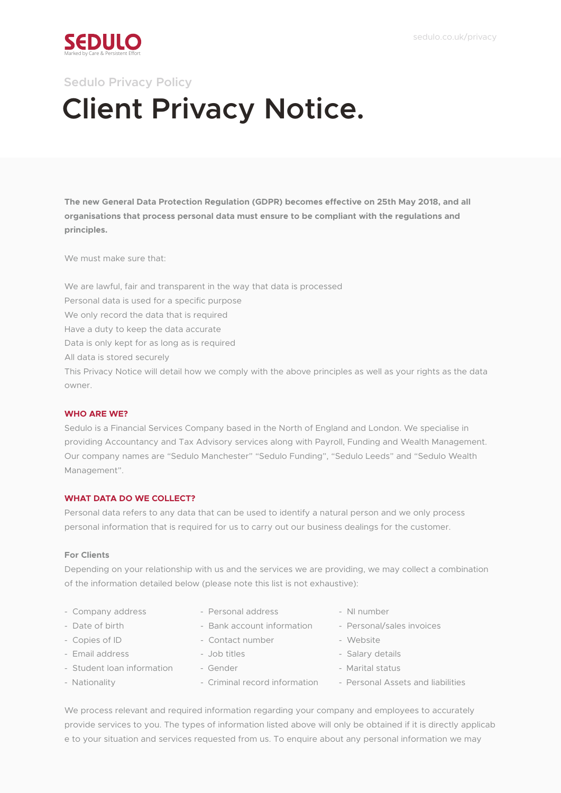

# **Client Privacy Notice. Sedulo Privacy Policy**

**The new General Data Protection Regulation (GDPR) becomes effective on 25th May 2018, and all organisations that process personal data must ensure to be compliant with the regulations and principles.**

We must make sure that

We are lawful, fair and transparent in the way that data is processed Personal data is used for a specific purpose We only record the data that is required Have a duty to keep the data accurate Data is only kept for as long as is required All data is stored securely This Privacy Notice will detail how we comply with the above principles as well as your rights as the data owner.

# **WHO ARE WE?**

Sedulo is a Financial Services Company based in the North of England and London. We specialise in providing Accountancy and Tax Advisory services along with Payroll, Funding and Wealth Management. Our company names are "Sedulo Manchester" "Sedulo Funding", "Sedulo Leeds" and "Sedulo Wealth Management".

# **WHAT DATA DO WE COLLECT?**

Personal data refers to any data that can be used to identify a natural person and we only process personal information that is required for us to carry out our business dealings for the customer.

## **For Clients**

Depending on your relationship with us and the services we are providing, we may collect a combination of the information detailed below (please note this list is not exhaustive):

- Company address Personal address NI number
- 
- 
- -
- 
- 
- 
- Copies of ID Contact number Website
	-
	-
	-
- 
- Date of birth  $\sim$  Bank account information Personal/sales invoices
	-
- Email address Job titles Salary details
- Student loan information Gender Marital status
- Nationality  **Criminal record information** Personal Assets and liabilities

We process relevant and required information regarding your company and employees to accurately provide services to you. The types of information listed above will only be obtained if it is directly applicab e to your situation and services requested from us. To enquire about any personal information we may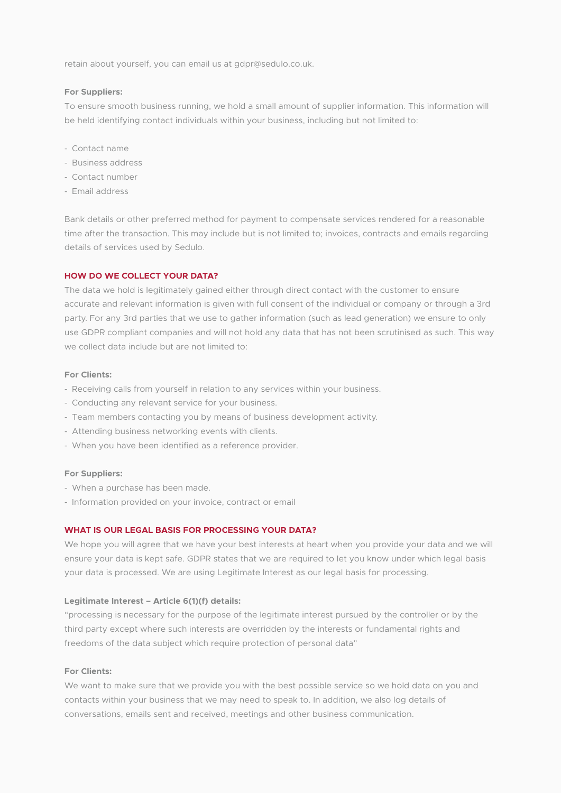retain about yourself, you can email us at gdpr@sedulo.co.uk.

#### **For Suppliers:**

To ensure smooth business running, we hold a small amount of supplier information. This information will be held identifying contact individuals within your business, including but not limited to:

- Contact name
- Business address
- Contact number
- Email address

Bank details or other preferred method for payment to compensate services rendered for a reasonable time after the transaction. This may include but is not limited to; invoices, contracts and emails regarding details of services used by Sedulo.

## **HOW DO WE COLLECT YOUR DATA?**

The data we hold is legitimately gained either through direct contact with the customer to ensure accurate and relevant information is given with full consent of the individual or company or through a 3rd party. For any 3rd parties that we use to gather information (such as lead generation) we ensure to only use GDPR compliant companies and will not hold any data that has not been scrutinised as such. This way we collect data include but are not limited to:

#### **For Clients:**

- Receiving calls from yourself in relation to any services within your business.
- Conducting any relevant service for your business.
- Team members contacting you by means of business development activity.
- Attending business networking events with clients.
- When you have been identified as a reference provider.

#### **For Suppliers:**

- When a purchase has been made.
- Information provided on your invoice, contract or email

# **WHAT IS OUR LEGAL BASIS FOR PROCESSING YOUR DATA?**

We hope you will agree that we have your best interests at heart when you provide your data and we will ensure your data is kept safe. GDPR states that we are required to let you know under which legal basis your data is processed. We are using Legitimate Interest as our legal basis for processing.

## **Legitimate Interest – Article 6(1)(f) details:**

"processing is necessary for the purpose of the legitimate interest pursued by the controller or by the third party except where such interests are overridden by the interests or fundamental rights and freedoms of the data subject which require protection of personal data"

#### **For Clients:**

We want to make sure that we provide you with the best possible service so we hold data on you and contacts within your business that we may need to speak to. In addition, we also log details of conversations, emails sent and received, meetings and other business communication.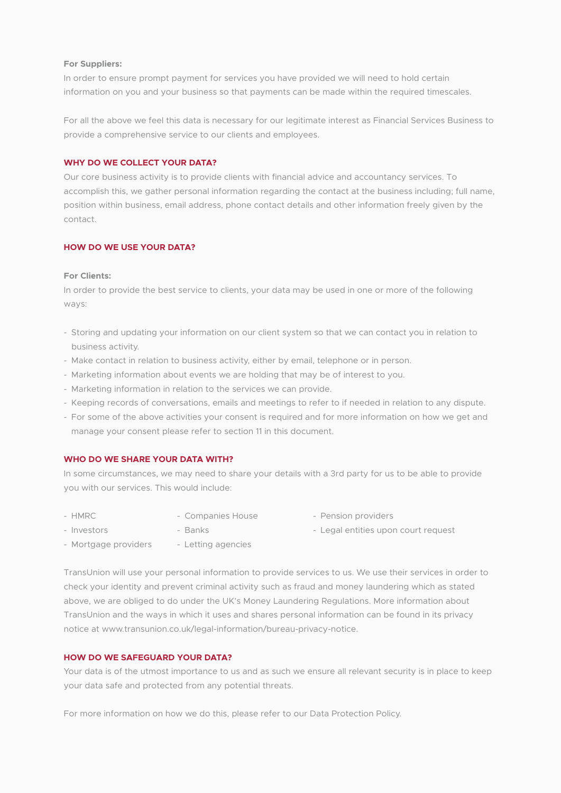## **For Suppliers:**

In order to ensure prompt payment for services you have provided we will need to hold certain information on you and your business so that payments can be made within the required timescales.

For all the above we feel this data is necessary for our legitimate interest as Financial Services Business to provide a comprehensive service to our clients and employees.

# **WHY DO WE COLLECT YOUR DATA?**

Our core business activity is to provide clients with financial advice and accountancy services. To accomplish this, we gather personal information regarding the contact at the business including; full name, position within business, email address, phone contact details and other information freely given by the contact.

# **HOW DO WE USE YOUR DATA?**

#### **For Clients:**

In order to provide the best service to clients, your data may be used in one or more of the following ways:

- Storing and updating your information on our client system so that we can contact you in relation to business activity.
- Make contact in relation to business activity, either by email, telephone or in person.
- Marketing information about events we are holding that may be of interest to you.
- Marketing information in relation to the services we can provide.
- Keeping records of conversations, emails and meetings to refer to if needed in relation to any dispute.
- For some of the above activities your consent is required and for more information on how we get and manage your consent please refer to section 11 in this document.

#### **WHO DO WE SHARE YOUR DATA WITH?**

In some circumstances, we may need to share your details with a 3rd party for us to be able to provide you with our services. This would include:

- 
- 
- HMRC Companies House Pension providers
- 
- Investors Banks Banks Legal entities upon court request
- Mortgage providers Letting agencies

TransUnion will use your personal information to provide services to us. We use their services in order to check your identity and prevent criminal activity such as fraud and money laundering which as stated above, we are obliged to do under the UK's Money Laundering Regulations. More information about TransUnion and the ways in which it uses and shares personal information can be found in its privacy notice at www.transunion.co.uk/legal-information/bureau-privacy-notice.

# **HOW DO WE SAFEGUARD YOUR DATA?**

Your data is of the utmost importance to us and as such we ensure all relevant security is in place to keep your data safe and protected from any potential threats.

For more information on how we do this, please refer to our Data Protection Policy.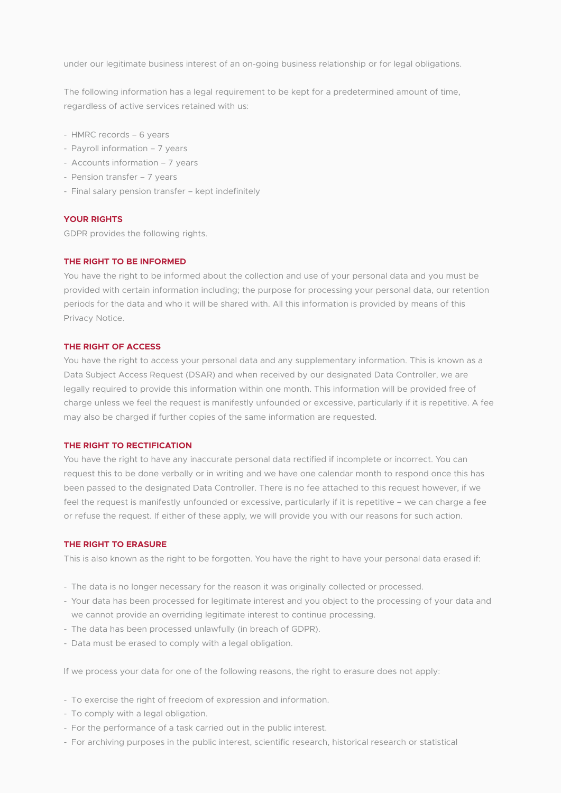under our legitimate business interest of an on-going business relationship or for legal obligations.

The following information has a legal requirement to be kept for a predetermined amount of time, regardless of active services retained with us:

- HMRC records 6 years
- Payroll information 7 years
- Accounts information 7 years
- Pension transfer 7 years
- Final salary pension transfer kept indefinitely

### **YOUR RIGHTS**

GDPR provides the following rights.

## **THE RIGHT TO BE INFORMED**

You have the right to be informed about the collection and use of your personal data and you must be provided with certain information including; the purpose for processing your personal data, our retention periods for the data and who it will be shared with. All this information is provided by means of this Privacy Notice.

## **THE RIGHT OF ACCESS**

You have the right to access your personal data and any supplementary information. This is known as a Data Subject Access Request (DSAR) and when received by our designated Data Controller, we are legally required to provide this information within one month. This information will be provided free of charge unless we feel the request is manifestly unfounded or excessive, particularly if it is repetitive. A fee may also be charged if further copies of the same information are requested.

# **THE RIGHT TO RECTIFICATION**

You have the right to have any inaccurate personal data rectified if incomplete or incorrect. You can request this to be done verbally or in writing and we have one calendar month to respond once this has been passed to the designated Data Controller. There is no fee attached to this request however, if we feel the request is manifestly unfounded or excessive, particularly if it is repetitive – we can charge a fee or refuse the request. If either of these apply, we will provide you with our reasons for such action.

#### **THE RIGHT TO ERASURE**

This is also known as the right to be forgotten. You have the right to have your personal data erased if:

- The data is no longer necessary for the reason it was originally collected or processed.
- Your data has been processed for legitimate interest and you object to the processing of your data and we cannot provide an overriding legitimate interest to continue processing.
- The data has been processed unlawfully (in breach of GDPR).
- Data must be erased to comply with a legal obligation.

If we process your data for one of the following reasons, the right to erasure does not apply:

- To exercise the right of freedom of expression and information.
- To comply with a legal obligation.
- For the performance of a task carried out in the public interest.
- For archiving purposes in the public interest, scientific research, historical research or statistical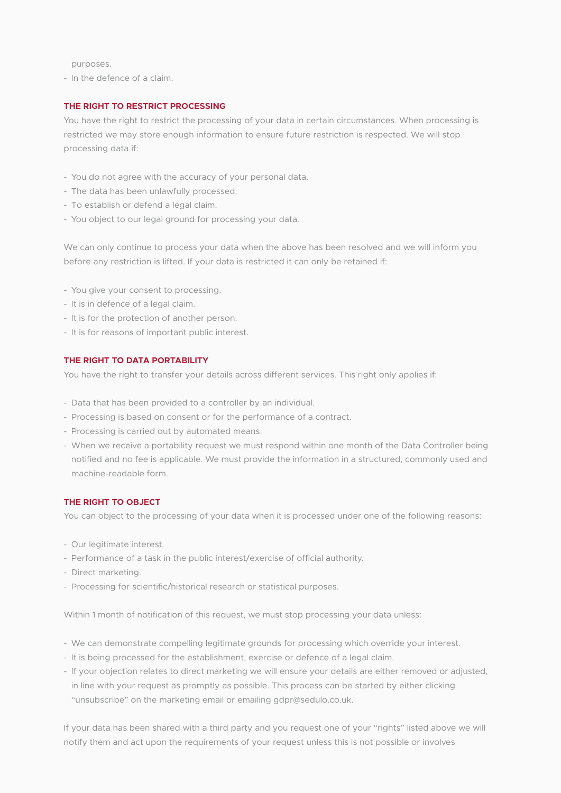purposes.

- In the defence of a claim.

# **THE RIGHT TO RESTRICT PROCESSING**

You have the right to restrict the processing of your data in certain circumstances. When processing is restricted we may store enough information to ensure future restriction is respected. We will stop processing data if:

- You do not agree with the accuracy of your personal data.
- The data has been unlawfully processed.
- To establish or defend a legal claim.
- You object to our legal ground for processing your data.

We can only continue to process your data when the above has been resolved and we will inform you before any restriction is lifted. If your data is restricted it can only be retained if:

- You give your consent to processing.
- It is in defence of a legal claim.
- It is for the protection of another person.
- It is for reasons of important public interest.

# **THE RIGHT TO DATA PORTABILITY**

You have the right to transfer your details across different services. This right only applies if:

- Data that has been provided to a controller by an individual.
- Processing is based on consent or for the performance of a contract.
- Processing is carried out by automated means.
- When we receive a portability request we must respond within one month of the Data Controller being notified and no fee is applicable. We must provide the information in a structured, commonly used and machine-readable form.

# **THE RIGHT TO OBJECT**

You can object to the processing of your data when it is processed under one of the following reasons:

- Our legitimate interest.
- Performance of a task in the public interest/exercise of official authority.
- Direct marketing.
- Processing for scientific/historical research or statistical purposes.

Within 1 month of notification of this request, we must stop processing your data unless:

- We can demonstrate compelling legitimate grounds for processing which override your interest.
- It is being processed for the establishment, exercise or defence of a legal claim.
- If your objection relates to direct marketing we will ensure your details are either removed or adjusted, in line with your request as promptly as possible. This process can be started by either clicking "unsubscribe" on the marketing email or emailing gdpr@sedulo.co.uk.

If your data has been shared with a third party and you request one of your "rights" listed above we will notify them and act upon the requirements of your request unless this is not possible or involves